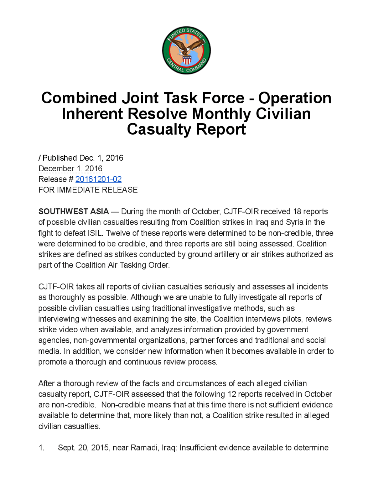

## **Combined Joint Task Force - Operation** Inherent Resolve Monthly Civilian Casualty Report

Published Dec. 1, 2016 December 1, 2016 Release # 20161201-02 FOR IMMEDIATE RELEASE

SOUTHWEST ASIA — During the month of October, CJTF-OIR received 18 reports of possible civilian casualties resulting from Coalition strikes in Iraq and Syria in the fight to defeat ISIL. Twelve of these reports were determined to be non-credible, three were determined to be credible, and three reports are still being assessed. Coalition strikes are defined as strikes conducted by ground artillery or air strikes authorized as part of the Coalition Air Tasking Order.

CJTF-OIR takes all reports of civilian casualties seriously and assesses all incidents as thoroughly as possible. Although we are unable to fully investigate all reports of possible civilian casualties using traditional investigative methods, such as interviewing witnesses and examining the site, the Coalition interviews pilots, reviews strike video when available, and analyzes information provided by government agencies, non-governmental organizations, partner forces and traditional and social media. In addition, we consider new information when it becomes available in order to promote a thorough and continuous review process.

After a thorough review of the facts and circumstances of each alleged civilian casualty report, CJTF-OIR assessed that the following 12 reports received in October are non-credible. Non-credible means that at this time there is not sufficient evidence available to determine that, more likely than not, a Coalition strike resulted in alleged civilian casualties.

<sup>1</sup> Sept. 20 2015, near Ramadi, Iraq: Insufficient evidence available to determine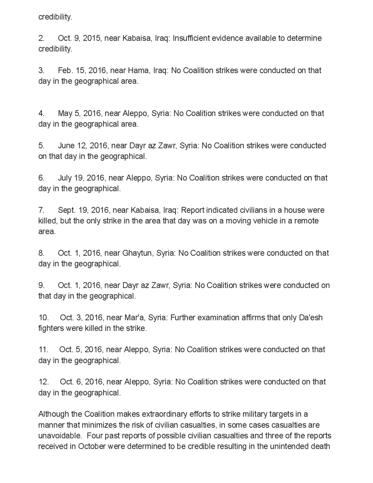credibility .

2. Oct. 9, 2015, near Kabaisa, Iraq: Insufficient evidence available to determine credibility

3 . Feb. 15, 2016 , near Hama, Iraq: No Coalition strikes were conducted on that day in the geographical area .

4 . May 5, 2016, near Aleppo, Syria: No Coalition strikes were conducted on that day in the geographical area.

5. June 12, 2016 near Dayr az Zawr, Syria No Coalition strikes were conducted on that day in the geographical.

6. July 19, 2016, near Aleppo, Syria: No Coalition strikes were conducted on that day in the geographical

<sup>7</sup> . Sept. 19, 2016, near Kabaisa , Iraq Report indicated civilians in <sup>a</sup> house were killed, but the only strike in the area that day was on a moving vehicle in a remote area.

8 Oct. 1, 2016, near Ghaytun, Syria: No Coalition strikes were conducted on that day in the geographical.

9. Oct. 1, 2016, near Dayr az Zawr, Syria: No Coalition strikes were conducted on that day in the geographical.

10. Oct. 3, 2016, near Mar'a, Syria: Further examination affirms that only Da'esh fighterswere killed in the strike.

11. Oct. 5, 2016, near Aleppo, Syria: No Coalition strikes were conducted on that day in the geographical.

12. Oct. 6, 2016, near Aleppo, Syria: No Coalition strikes were conducted on that day in the geographical.

Although the Coalition makes extraordinary efforts to strike military targets in a manner that minimizes the risk of civilian casualties, in some cases casualties are unavoidable. Four past reports of possible civilian casualties and three of the reports received in October were determined to be credible resulting in the unintended death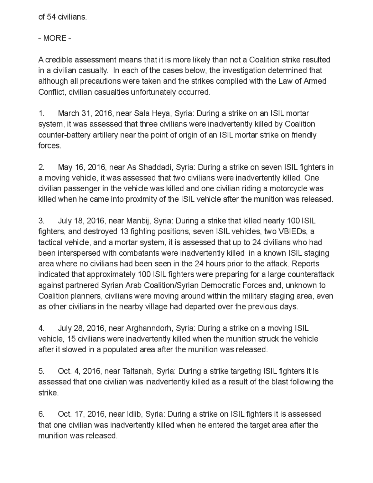of 54 civilians.

- MORE -

A credible assessment means that it is more likely than not a Coalition strike resulted in a civilian casualty. In each of the cases below, the investigation determined that although all precautions were taken and the strikes complied with the Law of Armed Conflict, civilian casualties unfortunately occurred.

1. March 31, 2016, near Sala Heya, Syria: During a strike on an ISIL mortar system, it was assessed that three civilians were inadvertently killed by Coalition counter-battery artillery near the point of origin of an ISIL mortar strike on friendly forces.

2. May 16, 2016, near As Shaddadi, Syria: During a strike on seven ISIL fighters in a moving vehicle, it was assessed that two civilians were inadvertently killed. One civilian passenger in the vehicle was killed and one civilian riding a motorcycle was killed when he came into proximity of the ISIL vehicle after the munition was released.

3 . July 18, 2016, near Manbij, Syria: During a strike that killed nearly 100 ISIL fighters, and destroyed 13 fighting positions, seven ISIL vehicles, two VBIEDs, a tactical vehicle, and a mortar system, it is assessed that up to 24 civilians who had been interspersed with combatants were inadvertently killed in a known ISIL staging area where no civilians had been seen in the 24 hours prior to the attack . Reports indicated that approximately 100 ISIL fighters were preparing for a large counterattack against partnered Syrian Arab Coalition/Syrian Democratic Forces and , unknown to Coalition planners, civilians were moving around within the military staging area, even as other civilians in the nearby village had departed over the previous days.

4. July 28, 2016, near Arghanndorh, Syria: During a strike on a moving ISIL vehicle, 15 civilians were inadvertently killed when the munition struck the vehicle after it slowed in a populated area after the munition was released .

5. Oct. 4, 2016, near Taltanah, Syria: During a strike targeting ISIL fighters it is assessed that one civilian was inadvertently killed as a result of the blast following the strike.

6 . Oct. 17, 2016 , near Idlib, Syria : During a strike on ISIL fighters it is assessed that one civilian was inadvertently killed when he entered the target area after the munition was released.